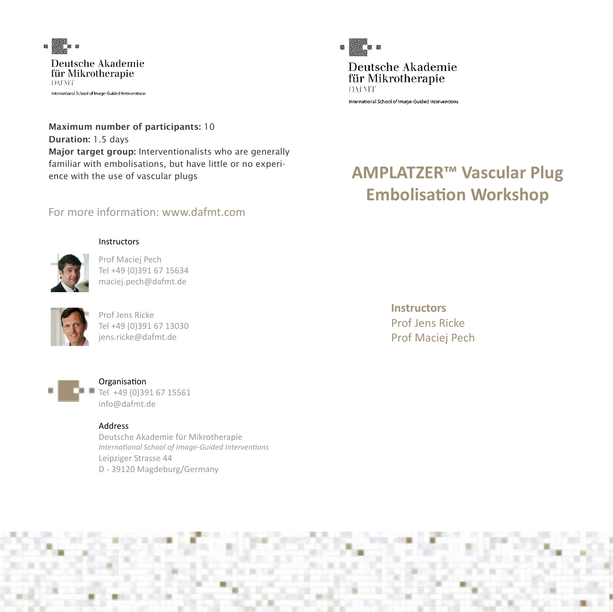

für Mikrotheranie **TACATE** International School of Image-Guided Interventions

Maximum number of participants: 10 Duration: 1.5 days Major target group: Interventionalists who are generally familiar with embolisations, but have little or no experience with the use of vascular plugs

# For more information: www.dafmt.com

#### **Instructors**



Prof Maciej Pech Tel +49 (0)391 67 15634 maciej.pech@dafmt.de



Prof Jens Ricke Tel +49 (0)391 67 13030 jens.ricke@dafmt.de



#### Organisation Tel +49 (0)391 67 15561 info@dafmt.de

#### Address

Deutsche Akademie für Mikrotherapie *International School of Image-Guided Interventions* Leipziger Strasse 44 D - 39120 Magdeburg/Germany



Deutsche Akademie für Mikrotherapie DATNIT

International School of Image-Guided Interventions

# **AMPLATZER™ Vascular Plug Embolisation Workshop**

**Instructors** Prof Jens Ricke Prof Maciej Pech